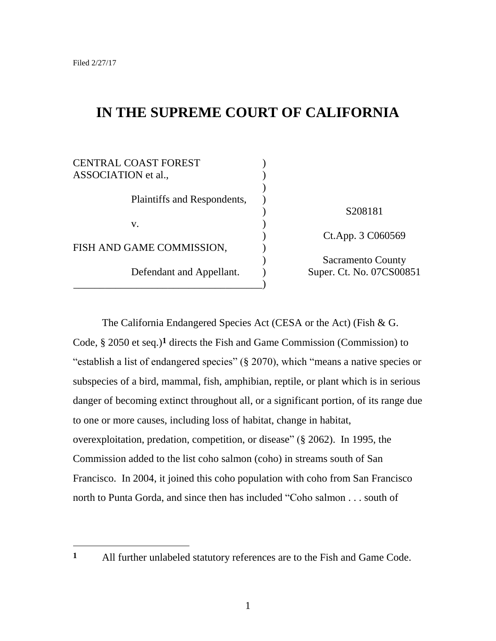$\overline{a}$ 

# **IN THE SUPREME COURT OF CALIFORNIA**

| CENTRAL COAST FOREST        |                          |
|-----------------------------|--------------------------|
| ASSOCIATION et al.,         |                          |
|                             |                          |
| Plaintiffs and Respondents, |                          |
|                             | S208181                  |
| V.                          |                          |
|                             | Ct.App. 3 C060569        |
| FISH AND GAME COMMISSION,   |                          |
|                             | <b>Sacramento County</b> |
| Defendant and Appellant.    | Super. Ct. No. 07CS00851 |
|                             |                          |

The California Endangered Species Act (CESA or the Act) (Fish & G. Code, § 2050 et seq.)**1** directs the Fish and Game Commission (Commission) to "establish a list of endangered species" (§ 2070), which "means a native species or subspecies of a bird, mammal, fish, amphibian, reptile, or plant which is in serious danger of becoming extinct throughout all, or a significant portion, of its range due to one or more causes, including loss of habitat, change in habitat, overexploitation, predation, competition, or disease" (§ 2062). In 1995, the Commission added to the list coho salmon (coho) in streams south of San Francisco. In 2004, it joined this coho population with coho from San Francisco north to Punta Gorda, and since then has included "Coho salmon . . . south of

**<sup>1</sup>** All further unlabeled statutory references are to the Fish and Game Code.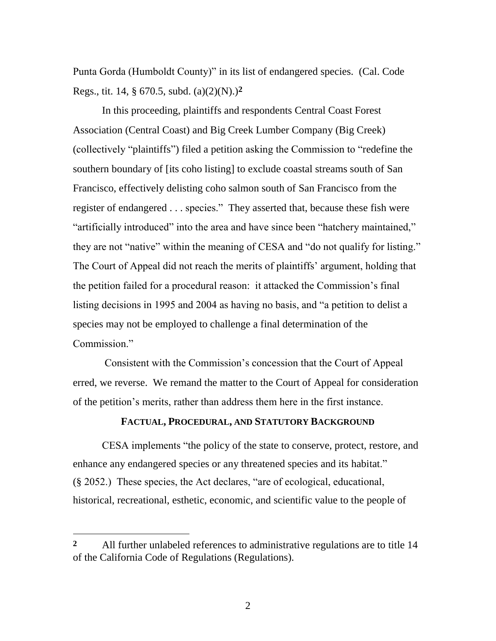Punta Gorda (Humboldt County)" in its list of endangered species. (Cal. Code Regs., tit. 14, § 670.5, subd. (a)(2)(N).)**2**

In this proceeding, plaintiffs and respondents Central Coast Forest Association (Central Coast) and Big Creek Lumber Company (Big Creek) (collectively "plaintiffs") filed a petition asking the Commission to "redefine the southern boundary of [its coho listing] to exclude coastal streams south of San Francisco, effectively delisting coho salmon south of San Francisco from the register of endangered . . . species." They asserted that, because these fish were "artificially introduced" into the area and have since been "hatchery maintained," they are not "native" within the meaning of CESA and "do not qualify for listing." The Court of Appeal did not reach the merits of plaintiffs' argument, holding that the petition failed for a procedural reason: it attacked the Commission"s final listing decisions in 1995 and 2004 as having no basis, and "a petition to delist a species may not be employed to challenge a final determination of the Commission."

Consistent with the Commission"s concession that the Court of Appeal erred, we reverse. We remand the matter to the Court of Appeal for consideration of the petition"s merits, rather than address them here in the first instance.

#### **FACTUAL, PROCEDURAL, AND STATUTORY BACKGROUND**

CESA implements "the policy of the state to conserve, protect, restore, and enhance any endangered species or any threatened species and its habitat." (§ 2052.) These species, the Act declares, "are of ecological, educational, historical, recreational, esthetic, economic, and scientific value to the people of

 $\overline{a}$ 

**<sup>2</sup>** All further unlabeled references to administrative regulations are to title 14 of the California Code of Regulations (Regulations).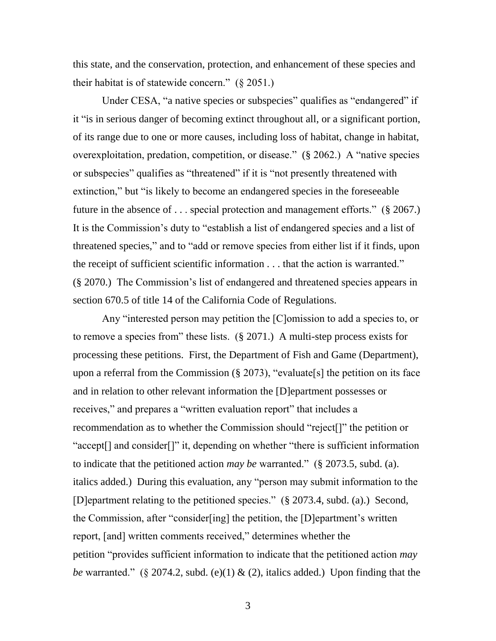this state, and the conservation, protection, and enhancement of these species and their habitat is of statewide concern."  $(\S 2051)$ 

Under CESA, "a native species or subspecies" qualifies as "endangered" if it "is in serious danger of becoming extinct throughout all, or a significant portion, of its range due to one or more causes, including loss of habitat, change in habitat, overexploitation, predation, competition, or disease." (§ 2062.) A "native species or subspecies" qualifies as "threatened" if it is "not presently threatened with extinction," but "is likely to become an endangered species in the foreseeable future in the absence of . . . special protection and management efforts." (§ 2067.) It is the Commission"s duty to "establish a list of endangered species and a list of threatened species," and to "add or remove species from either list if it finds, upon the receipt of sufficient scientific information . . . that the action is warranted." (§ 2070.) The Commission"s list of endangered and threatened species appears in section 670.5 of title 14 of the California Code of Regulations.

Any "interested person may petition the [C]omission to add a species to, or to remove a species from" these lists. (§ 2071.) A multi-step process exists for processing these petitions. First, the Department of Fish and Game (Department), upon a referral from the Commission  $(\S 2073)$ , "evaluate [s] the petition on its face and in relation to other relevant information the [D]epartment possesses or receives," and prepares a "written evaluation report" that includes a recommendation as to whether the Commission should "reject[]" the petition or "accept[] and consider[]" it, depending on whether "there is sufficient information to indicate that the petitioned action *may be* warranted." (§ 2073.5, subd. (a). italics added.) During this evaluation, any "person may submit information to the [D]epartment relating to the petitioned species." (§ 2073.4, subd. (a).) Second, the Commission, after "consider[ing] the petition, the [D]epartment"s written report, [and] written comments received," determines whether the petition "provides sufficient information to indicate that the petitioned action *may be* warranted." (§ 2074.2, subd. (e)(1) & (2), italics added.) Upon finding that the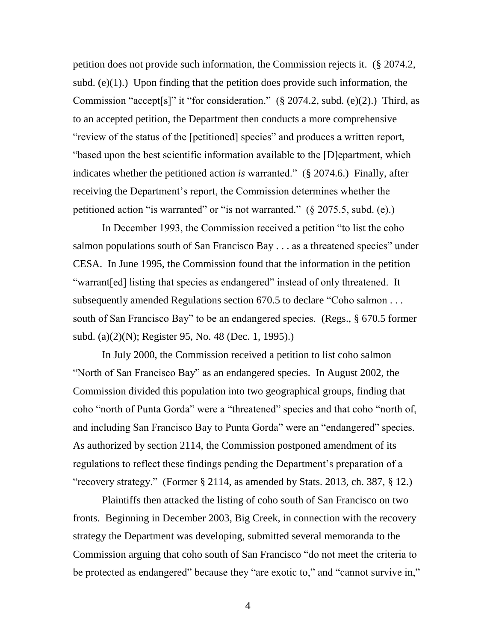petition does not provide such information, the Commission rejects it. (§ 2074.2, subd.  $(e)(1)$ .) Upon finding that the petition does provide such information, the Commission "accept[s]" it "for consideration."  $(\S 2074.2, \text{subd. (e)}(2))$ . Third, as to an accepted petition, the Department then conducts a more comprehensive "review of the status of the [petitioned] species" and produces a written report, "based upon the best scientific information available to the [D]epartment, which indicates whether the petitioned action *is* warranted." (§ 2074.6.) Finally, after receiving the Department's report, the Commission determines whether the petitioned action "is warranted" or "is not warranted." (§ 2075.5, subd. (e).)

In December 1993, the Commission received a petition "to list the coho salmon populations south of San Francisco Bay . . . as a threatened species" under CESA. In June 1995, the Commission found that the information in the petition "warrant[ed] listing that species as endangered" instead of only threatened. It subsequently amended Regulations section 670.5 to declare "Coho salmon . . . south of San Francisco Bay" to be an endangered species. (Regs., § 670.5 former subd. (a)(2)(N); Register 95, No. 48 (Dec. 1, 1995).)

In July 2000, the Commission received a petition to list coho salmon "North of San Francisco Bay" as an endangered species. In August 2002, the Commission divided this population into two geographical groups, finding that coho "north of Punta Gorda" were a "threatened" species and that coho "north of, and including San Francisco Bay to Punta Gorda" were an "endangered" species. As authorized by section 2114, the Commission postponed amendment of its regulations to reflect these findings pending the Department"s preparation of a "recovery strategy." (Former § 2114, as amended by Stats. 2013, ch. 387, § 12.)

Plaintiffs then attacked the listing of coho south of San Francisco on two fronts. Beginning in December 2003, Big Creek, in connection with the recovery strategy the Department was developing, submitted several memoranda to the Commission arguing that coho south of San Francisco "do not meet the criteria to be protected as endangered" because they "are exotic to," and "cannot survive in,"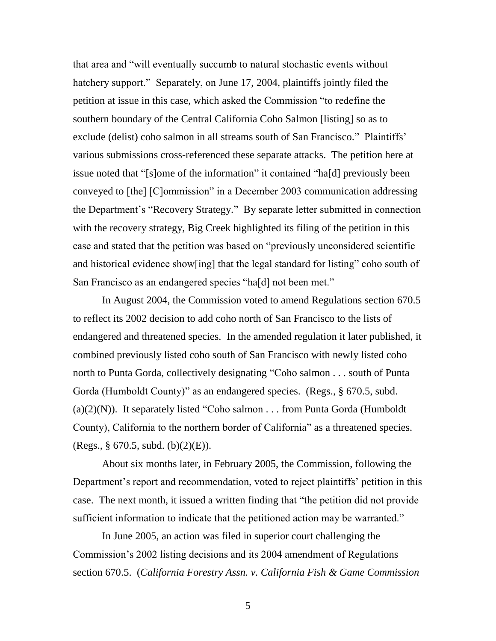that area and "will eventually succumb to natural stochastic events without hatchery support." Separately, on June 17, 2004, plaintiffs jointly filed the petition at issue in this case, which asked the Commission "to redefine the southern boundary of the Central California Coho Salmon [listing] so as to exclude (delist) coho salmon in all streams south of San Francisco." Plaintiffs' various submissions cross-referenced these separate attacks. The petition here at issue noted that "[s]ome of the information" it contained "ha[d] previously been conveyed to [the] [C]ommission" in a December 2003 communication addressing the Department"s "Recovery Strategy." By separate letter submitted in connection with the recovery strategy, Big Creek highlighted its filing of the petition in this case and stated that the petition was based on "previously unconsidered scientific and historical evidence show[ing] that the legal standard for listing" coho south of San Francisco as an endangered species "ha[d] not been met."

In August 2004, the Commission voted to amend Regulations section 670.5 to reflect its 2002 decision to add coho north of San Francisco to the lists of endangered and threatened species. In the amended regulation it later published, it combined previously listed coho south of San Francisco with newly listed coho north to Punta Gorda, collectively designating "Coho salmon . . . south of Punta Gorda (Humboldt County)" as an endangered species. (Regs., § 670.5, subd.  $(a)(2)(N)$ ). It separately listed "Coho salmon . . . from Punta Gorda (Humboldt) County), California to the northern border of California" as a threatened species. (Regs., § 670.5, subd. (b)(2)(E)).

About six months later, in February 2005, the Commission, following the Department's report and recommendation, voted to reject plaintiffs' petition in this case. The next month, it issued a written finding that "the petition did not provide sufficient information to indicate that the petitioned action may be warranted."

In June 2005, an action was filed in superior court challenging the Commission"s 2002 listing decisions and its 2004 amendment of Regulations section 670.5. (*California Forestry Assn. v. California Fish & Game Commission*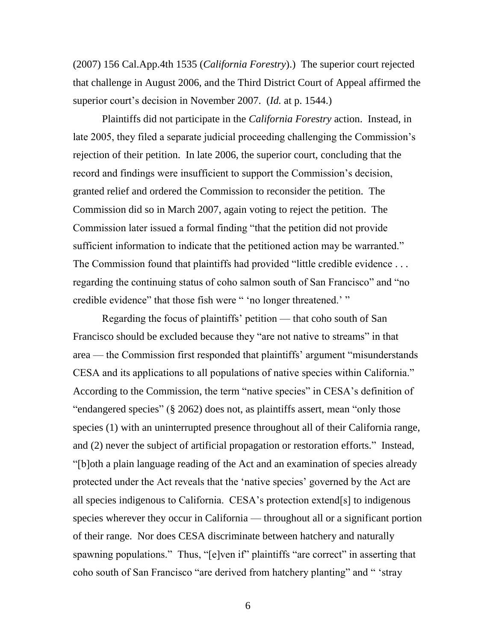(2007) 156 Cal.App.4th 1535 (*California Forestry*).) The superior court rejected that challenge in August 2006, and the Third District Court of Appeal affirmed the superior court's decision in November 2007. (*Id.* at p. 1544.)

Plaintiffs did not participate in the *California Forestry* action. Instead, in late 2005, they filed a separate judicial proceeding challenging the Commission's rejection of their petition. In late 2006, the superior court, concluding that the record and findings were insufficient to support the Commission's decision, granted relief and ordered the Commission to reconsider the petition. The Commission did so in March 2007, again voting to reject the petition. The Commission later issued a formal finding "that the petition did not provide sufficient information to indicate that the petitioned action may be warranted." The Commission found that plaintiffs had provided "little credible evidence . . . regarding the continuing status of coho salmon south of San Francisco" and "no credible evidence" that those fish were " 'no longer threatened.' "

Regarding the focus of plaintiffs' petition — that coho south of San Francisco should be excluded because they "are not native to streams" in that area — the Commission first responded that plaintiffs" argument "misunderstands CESA and its applications to all populations of native species within California." According to the Commission, the term "native species" in CESA"s definition of "endangered species" (§ 2062) does not, as plaintiffs assert, mean "only those species (1) with an uninterrupted presence throughout all of their California range, and (2) never the subject of artificial propagation or restoration efforts." Instead, "[b]oth a plain language reading of the Act and an examination of species already protected under the Act reveals that the "native species" governed by the Act are all species indigenous to California. CESA"s protection extend[s] to indigenous species wherever they occur in California — throughout all or a significant portion of their range. Nor does CESA discriminate between hatchery and naturally spawning populations." Thus, "[e]ven if" plaintiffs "are correct" in asserting that coho south of San Francisco "are derived from hatchery planting" and " "stray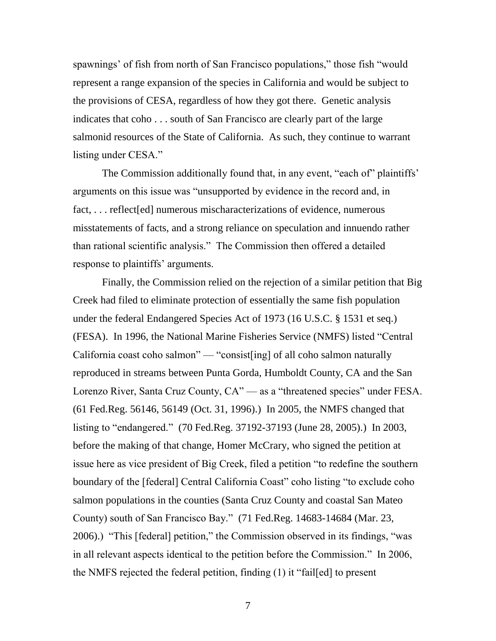spawnings' of fish from north of San Francisco populations," those fish "would represent a range expansion of the species in California and would be subject to the provisions of CESA, regardless of how they got there. Genetic analysis indicates that coho . . . south of San Francisco are clearly part of the large salmonid resources of the State of California. As such, they continue to warrant listing under CESA."

The Commission additionally found that, in any event, "each of" plaintiffs" arguments on this issue was "unsupported by evidence in the record and, in fact, . . . reflect[ed] numerous mischaracterizations of evidence, numerous misstatements of facts, and a strong reliance on speculation and innuendo rather than rational scientific analysis." The Commission then offered a detailed response to plaintiffs' arguments.

Finally, the Commission relied on the rejection of a similar petition that Big Creek had filed to eliminate protection of essentially the same fish population under the federal Endangered Species Act of 1973 (16 U.S.C. § 1531 et seq.) (FESA). In 1996, the National Marine Fisheries Service (NMFS) listed "Central California coast coho salmon" — "consist[ing] of all coho salmon naturally reproduced in streams between Punta Gorda, Humboldt County, CA and the San Lorenzo River, Santa Cruz County, CA" — as a "threatened species" under FESA. (61 Fed.Reg. 56146, 56149 (Oct. 31, 1996).) In 2005, the NMFS changed that listing to "endangered." (70 Fed.Reg. 37192-37193 (June 28, 2005).) In 2003, before the making of that change, Homer McCrary, who signed the petition at issue here as vice president of Big Creek, filed a petition "to redefine the southern boundary of the [federal] Central California Coast" coho listing "to exclude coho salmon populations in the counties (Santa Cruz County and coastal San Mateo County) south of San Francisco Bay." (71 Fed.Reg. 14683-14684 (Mar. 23, 2006).) "This [federal] petition," the Commission observed in its findings, "was in all relevant aspects identical to the petition before the Commission." In 2006, the NMFS rejected the federal petition, finding (1) it "fail[ed] to present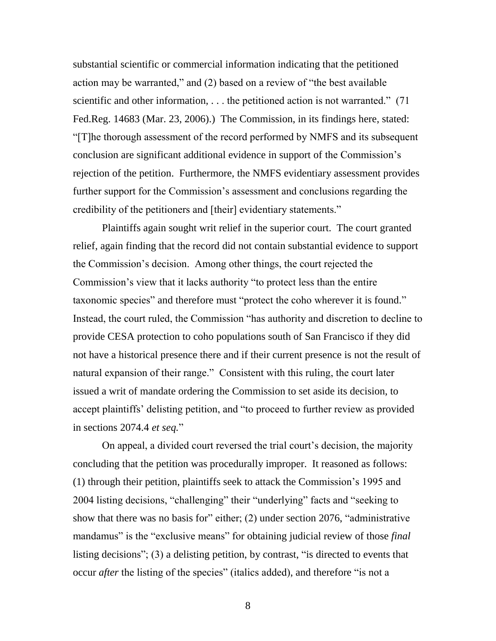substantial scientific or commercial information indicating that the petitioned action may be warranted," and (2) based on a review of "the best available scientific and other information, ... the petitioned action is not warranted." (71) Fed.Reg. 14683 (Mar. 23, 2006).) The Commission, in its findings here, stated: "[T]he thorough assessment of the record performed by NMFS and its subsequent conclusion are significant additional evidence in support of the Commission"s rejection of the petition. Furthermore, the NMFS evidentiary assessment provides further support for the Commission's assessment and conclusions regarding the credibility of the petitioners and [their] evidentiary statements."

Plaintiffs again sought writ relief in the superior court. The court granted relief, again finding that the record did not contain substantial evidence to support the Commission"s decision. Among other things, the court rejected the Commission"s view that it lacks authority "to protect less than the entire taxonomic species" and therefore must "protect the coho wherever it is found." Instead, the court ruled, the Commission "has authority and discretion to decline to provide CESA protection to coho populations south of San Francisco if they did not have a historical presence there and if their current presence is not the result of natural expansion of their range." Consistent with this ruling, the court later issued a writ of mandate ordering the Commission to set aside its decision, to accept plaintiffs' delisting petition, and "to proceed to further review as provided in sections 2074.4 *et seq.*"

On appeal, a divided court reversed the trial court's decision, the majority concluding that the petition was procedurally improper. It reasoned as follows: (1) through their petition, plaintiffs seek to attack the Commission"s 1995 and 2004 listing decisions, "challenging" their "underlying" facts and "seeking to show that there was no basis for" either; (2) under section 2076, "administrative mandamus" is the "exclusive means" for obtaining judicial review of those *final* listing decisions"; (3) a delisting petition, by contrast, "is directed to events that occur *after* the listing of the species" (italics added), and therefore "is not a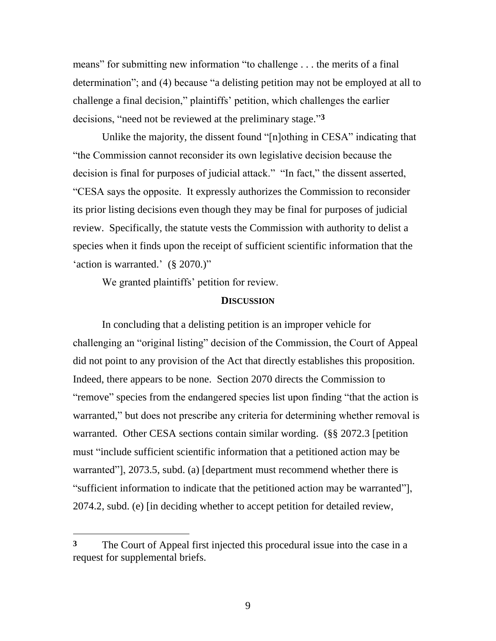means" for submitting new information "to challenge . . . the merits of a final determination"; and (4) because "a delisting petition may not be employed at all to challenge a final decision," plaintiffs" petition, which challenges the earlier decisions, "need not be reviewed at the preliminary stage." **3**

Unlike the majority, the dissent found "[n]othing in CESA" indicating that "the Commission cannot reconsider its own legislative decision because the decision is final for purposes of judicial attack." "In fact," the dissent asserted, "CESA says the opposite. It expressly authorizes the Commission to reconsider its prior listing decisions even though they may be final for purposes of judicial review. Specifically, the statute vests the Commission with authority to delist a species when it finds upon the receipt of sufficient scientific information that the 'action is warranted.'  $(\S 2070.)$ "

We granted plaintiffs' petition for review.

 $\overline{a}$ 

## **DISCUSSION**

In concluding that a delisting petition is an improper vehicle for challenging an "original listing" decision of the Commission, the Court of Appeal did not point to any provision of the Act that directly establishes this proposition. Indeed, there appears to be none. Section 2070 directs the Commission to "remove" species from the endangered species list upon finding "that the action is warranted," but does not prescribe any criteria for determining whether removal is warranted. Other CESA sections contain similar wording. (§§ 2072.3 [petition must "include sufficient scientific information that a petitioned action may be warranted"], 2073.5, subd. (a) [department must recommend whether there is "sufficient information to indicate that the petitioned action may be warranted"], 2074.2, subd. (e) [in deciding whether to accept petition for detailed review,

**<sup>3</sup>** The Court of Appeal first injected this procedural issue into the case in a request for supplemental briefs.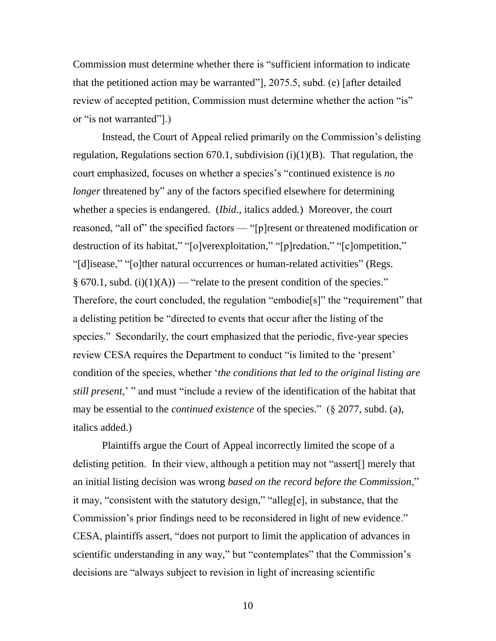Commission must determine whether there is "sufficient information to indicate that the petitioned action may be warranted"], 2075.5, subd. (e) [after detailed review of accepted petition, Commission must determine whether the action "is" or "is not warranted"].)

Instead, the Court of Appeal relied primarily on the Commission's delisting regulation, Regulations section  $670.1$ , subdivision  $(i)(1)(B)$ . That regulation, the court emphasized, focuses on whether a species"s "continued existence is *no longer* threatened by" any of the factors specified elsewhere for determining whether a species is endangered. (*Ibid*., italics added*.*) Moreover, the court reasoned, "all of" the specified factors — "[p]resent or threatened modification or destruction of its habitat," "[o]verexploitation," "[p]redation," "[c]ompetition," "[d]isease," "[o]ther natural occurrences or human-related activities" (Regs. § 670.1, subd. (i)(1)(A)) — "relate to the present condition of the species." Therefore, the court concluded, the regulation "embodie[s]" the "requirement" that a delisting petition be "directed to events that occur after the listing of the species." Secondarily, the court emphasized that the periodic, five-year species review CESA requires the Department to conduct "is limited to the "present" condition of the species, whether "*the conditions that led to the original listing are still present*," " and must "include a review of the identification of the habitat that may be essential to the *continued existence* of the species." (§ 2077, subd. (a), italics added.)

Plaintiffs argue the Court of Appeal incorrectly limited the scope of a delisting petition. In their view, although a petition may not "assert[] merely that an initial listing decision was wrong *based on the record before the Commission*," it may, "consistent with the statutory design," "alleg[e], in substance, that the Commission's prior findings need to be reconsidered in light of new evidence." CESA, plaintiffs assert, "does not purport to limit the application of advances in scientific understanding in any way," but "contemplates" that the Commission's decisions are "always subject to revision in light of increasing scientific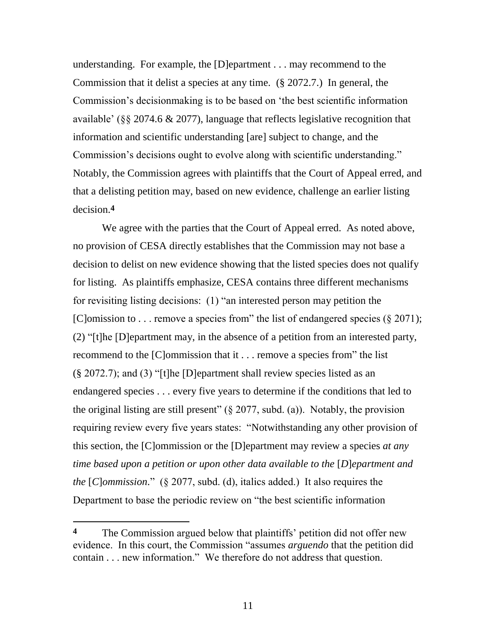understanding. For example, the [D]epartment . . . may recommend to the Commission that it delist a species at any time. (§ 2072.7.) In general, the Commission"s decisionmaking is to be based on "the best scientific information available' ( $\S$ § 2074.6  $\&$  2077), language that reflects legislative recognition that information and scientific understanding [are] subject to change, and the Commission's decisions ought to evolve along with scientific understanding." Notably, the Commission agrees with plaintiffs that the Court of Appeal erred, and that a delisting petition may, based on new evidence, challenge an earlier listing decision.**4**

We agree with the parties that the Court of Appeal erred. As noted above, no provision of CESA directly establishes that the Commission may not base a decision to delist on new evidence showing that the listed species does not qualify for listing. As plaintiffs emphasize, CESA contains three different mechanisms for revisiting listing decisions: (1) "an interested person may petition the [C]omission to . . . remove a species from" the list of endangered species  $(\S 2071)$ ; (2) "[t]he [D]epartment may, in the absence of a petition from an interested party, recommend to the [C]ommission that it . . . remove a species from" the list (§ 2072.7); and (3) "[t]he [D]epartment shall review species listed as an endangered species . . . every five years to determine if the conditions that led to the original listing are still present" ( $\S 2077$ , subd. (a)). Notably, the provision requiring review every five years states: "Notwithstanding any other provision of this section, the [C]ommission or the [D]epartment may review a species *at any time based upon a petition or upon other data available to the* [*D*]*epartment and the* [*C*]*ommission*." (§ 2077, subd. (d), italics added.) It also requires the Department to base the periodic review on "the best scientific information

<sup>&</sup>lt;sup>4</sup> The Commission argued below that plaintiffs' petition did not offer new evidence. In this court, the Commission "assumes *arguendo* that the petition did contain . . . new information." We therefore do not address that question.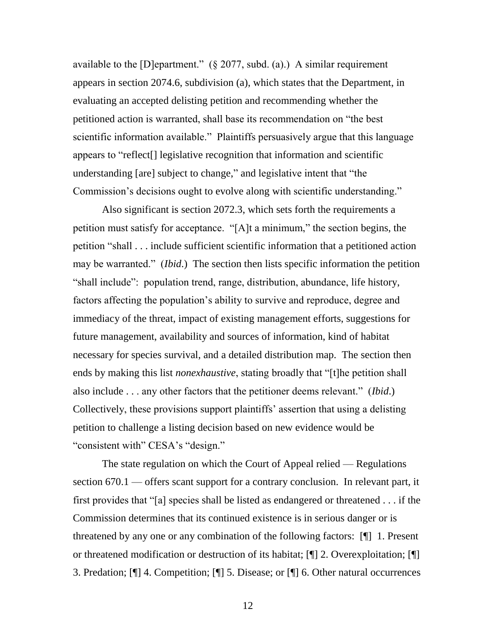available to the [D]epartment."  $(\S$  2077, subd. (a).) A similar requirement appears in section 2074.6, subdivision (a), which states that the Department, in evaluating an accepted delisting petition and recommending whether the petitioned action is warranted, shall base its recommendation on "the best scientific information available." Plaintiffs persuasively argue that this language appears to "reflect[] legislative recognition that information and scientific understanding [are] subject to change," and legislative intent that "the Commission"s decisions ought to evolve along with scientific understanding."

Also significant is section 2072.3, which sets forth the requirements a petition must satisfy for acceptance. "[A]t a minimum," the section begins, the petition "shall . . . include sufficient scientific information that a petitioned action may be warranted." (*Ibid*.) The section then lists specific information the petition "shall include": population trend, range, distribution, abundance, life history, factors affecting the population"s ability to survive and reproduce, degree and immediacy of the threat, impact of existing management efforts, suggestions for future management, availability and sources of information, kind of habitat necessary for species survival, and a detailed distribution map. The section then ends by making this list *nonexhaustive*, stating broadly that "[t]he petition shall also include . . . any other factors that the petitioner deems relevant." (*Ibid*.) Collectively, these provisions support plaintiffs" assertion that using a delisting petition to challenge a listing decision based on new evidence would be "consistent with" CESA's "design."

The state regulation on which the Court of Appeal relied — Regulations section 670.1 — offers scant support for a contrary conclusion. In relevant part, it first provides that "[a] species shall be listed as endangered or threatened . . . if the Commission determines that its continued existence is in serious danger or is threatened by any one or any combination of the following factors: [¶] 1. Present or threatened modification or destruction of its habitat; [¶] 2. Overexploitation; [¶] 3. Predation; [¶] 4. Competition; [¶] 5. Disease; or [¶] 6. Other natural occurrences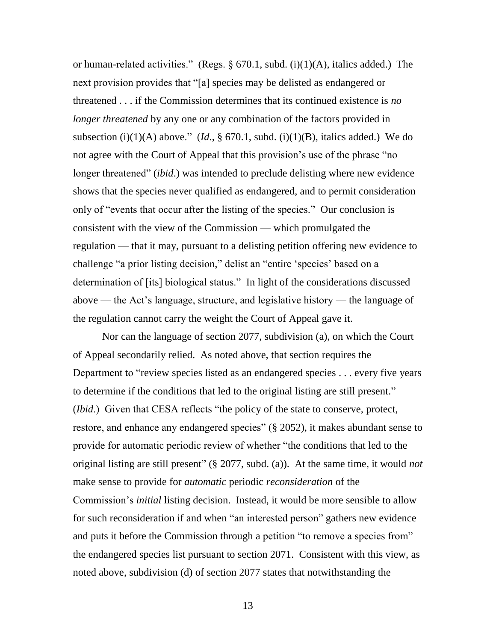or human-related activities." (Regs.  $\S 670.1$ , subd. (i)(1)(A), italics added.) The next provision provides that "[a] species may be delisted as endangered or threatened . . . if the Commission determines that its continued existence is *no longer threatened* by any one or any combination of the factors provided in subsection (i)(1)(A) above." (*Id.*, § 670.1, subd. (i)(1)(B), italics added.) We do not agree with the Court of Appeal that this provision's use of the phrase "no longer threatened" *(ibid.)* was intended to preclude delisting where new evidence shows that the species never qualified as endangered, and to permit consideration only of "events that occur after the listing of the species." Our conclusion is consistent with the view of the Commission — which promulgated the regulation — that it may, pursuant to a delisting petition offering new evidence to challenge "a prior listing decision," delist an "entire 'species' based on a determination of [its] biological status." In light of the considerations discussed above — the Act"s language, structure, and legislative history — the language of the regulation cannot carry the weight the Court of Appeal gave it.

Nor can the language of section 2077, subdivision (a), on which the Court of Appeal secondarily relied. As noted above, that section requires the Department to "review species listed as an endangered species . . . every five years to determine if the conditions that led to the original listing are still present." (*Ibid*.) Given that CESA reflects "the policy of the state to conserve, protect, restore, and enhance any endangered species" (§ 2052), it makes abundant sense to provide for automatic periodic review of whether "the conditions that led to the original listing are still present" (§ 2077, subd. (a)). At the same time, it would *not* make sense to provide for *automatic* periodic *reconsideration* of the Commission"s *initial* listing decision. Instead, it would be more sensible to allow for such reconsideration if and when "an interested person" gathers new evidence and puts it before the Commission through a petition "to remove a species from" the endangered species list pursuant to section 2071. Consistent with this view, as noted above, subdivision (d) of section 2077 states that notwithstanding the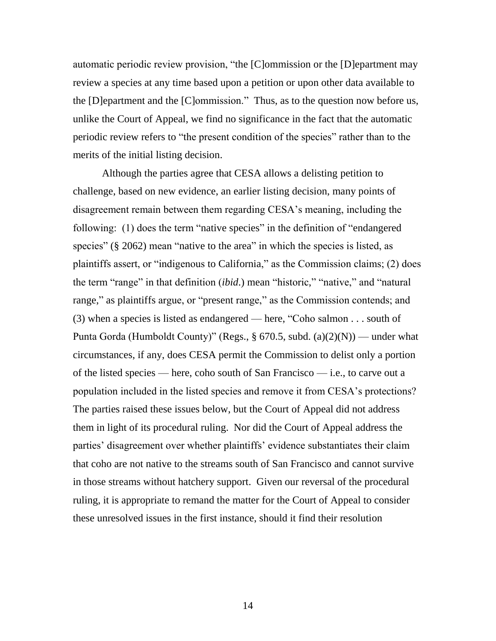automatic periodic review provision, "the [C]ommission or the [D]epartment may review a species at any time based upon a petition or upon other data available to the [D]epartment and the [C]ommission." Thus, as to the question now before us, unlike the Court of Appeal, we find no significance in the fact that the automatic periodic review refers to "the present condition of the species" rather than to the merits of the initial listing decision.

Although the parties agree that CESA allows a delisting petition to challenge, based on new evidence, an earlier listing decision, many points of disagreement remain between them regarding CESA"s meaning, including the following: (1) does the term "native species" in the definition of "endangered species" (§ 2062) mean "native to the area" in which the species is listed, as plaintiffs assert, or "indigenous to California," as the Commission claims; (2) does the term "range" in that definition (*ibid*.) mean "historic," "native," and "natural range," as plaintiffs argue, or "present range," as the Commission contends; and (3) when a species is listed as endangered — here, "Coho salmon . . . south of Punta Gorda (Humboldt County)" (Regs., § 670.5, subd.  $(a)(2)(N)$ ) — under what circumstances, if any, does CESA permit the Commission to delist only a portion of the listed species — here, coho south of San Francisco — i.e., to carve out a population included in the listed species and remove it from CESA"s protections? The parties raised these issues below, but the Court of Appeal did not address them in light of its procedural ruling. Nor did the Court of Appeal address the parties" disagreement over whether plaintiffs" evidence substantiates their claim that coho are not native to the streams south of San Francisco and cannot survive in those streams without hatchery support. Given our reversal of the procedural ruling, it is appropriate to remand the matter for the Court of Appeal to consider these unresolved issues in the first instance, should it find their resolution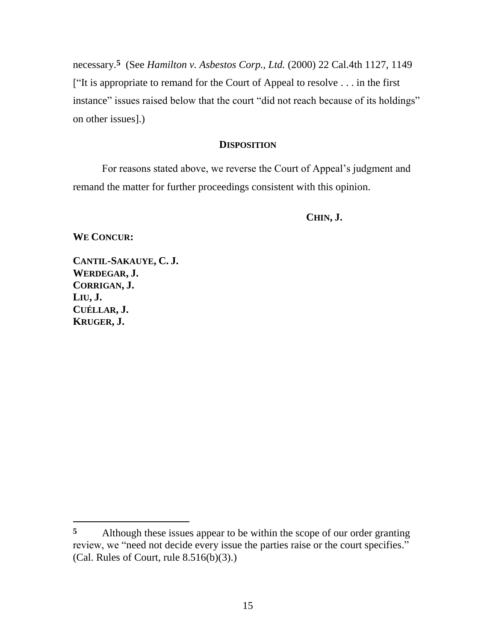necessary.**5** (See *Hamilton v. Asbestos Corp., Ltd.* (2000) 22 Cal.4th 1127, 1149 ["It is appropriate to remand for the Court of Appeal to resolve . . . in the first instance" issues raised below that the court "did not reach because of its holdings" on other issues].)

### **DISPOSITION**

For reasons stated above, we reverse the Court of Appeal"s judgment and remand the matter for further proceedings consistent with this opinion.

**CHIN, J.**

**WE CONCUR:**

**CANTIL-SAKAUYE, C. J. WERDEGAR, J. CORRIGAN, J. LIU, J. CUÉLLAR, J. KRUGER, J.**

**<sup>5</sup>** Although these issues appear to be within the scope of our order granting review, we "need not decide every issue the parties raise or the court specifies." (Cal. Rules of Court, rule 8.516(b)(3).)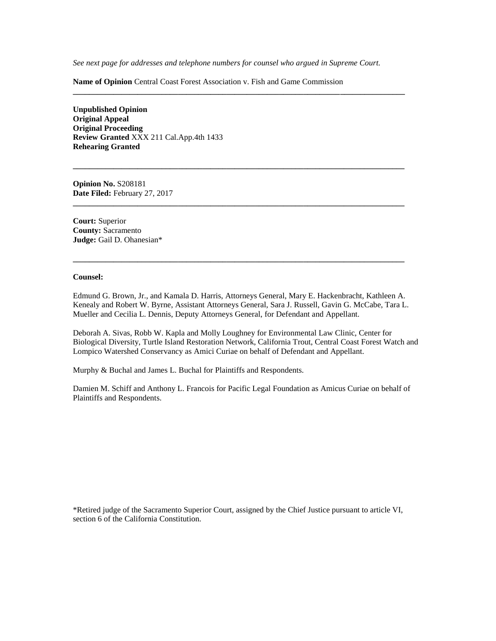*See next page for addresses and telephone numbers for counsel who argued in Supreme Court.*

**\_\_\_\_\_\_\_\_\_\_\_\_\_\_\_\_\_\_\_\_\_\_\_\_\_\_\_\_\_\_\_\_\_\_\_\_\_\_\_\_\_\_\_\_\_\_\_\_\_\_\_\_\_\_\_\_\_\_\_\_\_\_\_\_\_\_\_\_\_\_\_\_\_\_\_\_\_\_\_\_\_\_**

**\_\_\_\_\_\_\_\_\_\_\_\_\_\_\_\_\_\_\_\_\_\_\_\_\_\_\_\_\_\_\_\_\_\_\_\_\_\_\_\_\_\_\_\_\_\_\_\_\_\_\_\_\_\_\_\_\_\_\_\_\_\_\_\_\_\_\_\_\_\_\_\_\_\_\_\_\_\_\_\_\_\_**

**\_\_\_\_\_\_\_\_\_\_\_\_\_\_\_\_\_\_\_\_\_\_\_\_\_\_\_\_\_\_\_\_\_\_\_\_\_\_\_\_\_\_\_\_\_\_\_\_\_\_\_\_\_\_\_\_\_\_\_\_\_\_\_\_\_\_\_\_\_\_\_\_\_\_\_\_\_\_\_\_\_\_**

**\_\_\_\_\_\_\_\_\_\_\_\_\_\_\_\_\_\_\_\_\_\_\_\_\_\_\_\_\_\_\_\_\_\_\_\_\_\_\_\_\_\_\_\_\_\_\_\_\_\_\_\_\_\_\_\_\_\_\_\_\_\_\_\_\_\_\_\_\_\_\_\_\_\_\_\_\_\_\_\_\_\_**

**Name of Opinion** Central Coast Forest Association v. Fish and Game Commission

**Unpublished Opinion Original Appeal Original Proceeding Review Granted** XXX 211 Cal.App.4th 1433 **Rehearing Granted**

**Opinion No.** S208181 **Date Filed:** February 27, 2017

**Court:** Superior **County:** Sacramento **Judge:** Gail D. Ohanesian\*

#### **Counsel:**

Edmund G. Brown, Jr., and Kamala D. Harris, Attorneys General, Mary E. Hackenbracht, Kathleen A. Kenealy and Robert W. Byrne, Assistant Attorneys General, Sara J. Russell, Gavin G. McCabe, Tara L. Mueller and Cecilia L. Dennis, Deputy Attorneys General, for Defendant and Appellant.

Deborah A. Sivas, Robb W. Kapla and Molly Loughney for Environmental Law Clinic, Center for Biological Diversity, Turtle Island Restoration Network, California Trout, Central Coast Forest Watch and Lompico Watershed Conservancy as Amici Curiae on behalf of Defendant and Appellant.

Murphy & Buchal and James L. Buchal for Plaintiffs and Respondents.

Damien M. Schiff and Anthony L. Francois for Pacific Legal Foundation as Amicus Curiae on behalf of Plaintiffs and Respondents.

\*Retired judge of the Sacramento Superior Court, assigned by the Chief Justice pursuant to article VI, section 6 of the California Constitution.